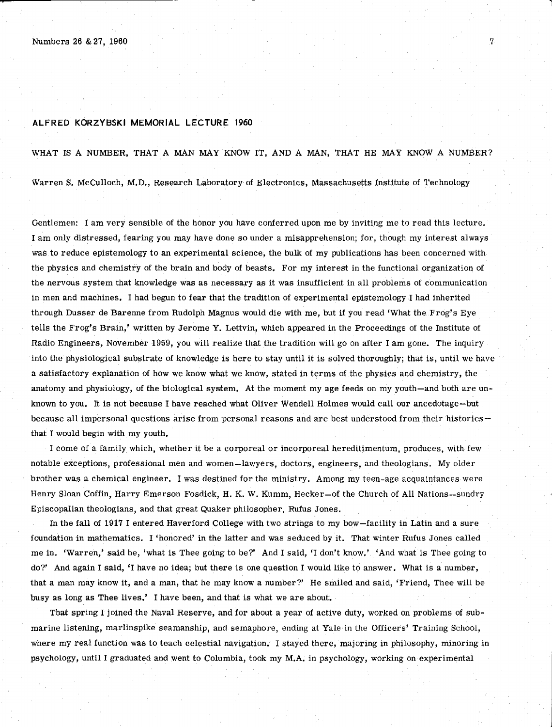### ALFRED KORZYBSKI MEMORIAL LECTURE 1960

### WHAT IS A NUMBER, THAT A MAN MAY KNOW IT, AND A MAN, THAT HE MAY KNOW A NUMBER?

Warren S. McCulloch, M.D., Research Laboratory of Electronics, Massachusetts Institute of Technology

Gentlemen: I am very sensible of the honor you have conferred upon me by inviting me to read this lecture . I am only distressed, fearing you may have done so under a misapprehension ; for, though my interest always was to reduce epistemology to an experimental science, the bulk of my publications has been concerned with the physics and chemistry of the brain and body of beasts . For my interest in the functional organization of the nervous system that knowledge was as necessary as it was insufficient in all problems of communication in men and machines. I had begun to fear that the tradition of experimental epistemology I had inherited through Dusser de Barenne from Rudolph Magnus would die with me, but if you read 'What the Frog's Eye tells the Frog's Brain,' written by Jerome Y. Lettvin, which appeared in the Proceedings of the Institute of Radio Engineers, November 1959, you will realize that the tradition will go on after I am gone. The inquiry into the physiological substrate of knowledge is here to stay until it is solved thoroughly ; that is, until we have a satisfactory explanation of how we know what we know, stated in terms of the physics and chemistry, the anatomy and physiology, of the biological system. At the moment my age feeds on my youth-and both are unknown to you. It is not because I have reached what Oliver Wendell Holmes would call our anecdotage-but because all impersonal questions arise from personal reasons and are best understood from their historiesthat I would begin with my youth.

I come of a family which, whether it be a corporeal or incorporeal hereditimentum, produces, with few notable exceptions, professional men and women-lawyers, doctors, engineers, and theologians. My older brother was a chemical engineer . I was destined for the ministry . Among my teen-age acquaintances were Henry Sloan Coffin, Harry Emerson Fosdick, H. K. W. Kumm, Hecker-of the Church of All Nations--sundry Episcopalian theologians, and that great Quaker philosopher, Rufus Jones .

In the fall of 1917 I entered Haverford College with two strings to my bow-facility in Latin and a sure foundation in mathematics. I 'honored' in the latter and was seduced by it. That winter Rufus Jones called me in. 'Warren,' said he, 'what is Thee going to be?' And I said, 'I don't know.' 'And what is Thee going to do?' And again I said, 'I have no idea; but there is one question I would like to answer. What is a number, that a man may know it, and a man, that he may know a number?' He smiled and said, 'Friend, Thee will be busy as long as Thee lives .' I have been, and that is what we are about.

That spring I joined the Naval Reserve, and for about a year of active duty, worked on problems of submarine listening, marlinspike seamanship, and semaphore, ending at Yale in the Officers' Training School, where my real function was to teach celestial navigation. I stayed there, majoring in philosophy, minoring in psychology, until I graduated and went to Columbia, took my M.A. in psychology, working on experimental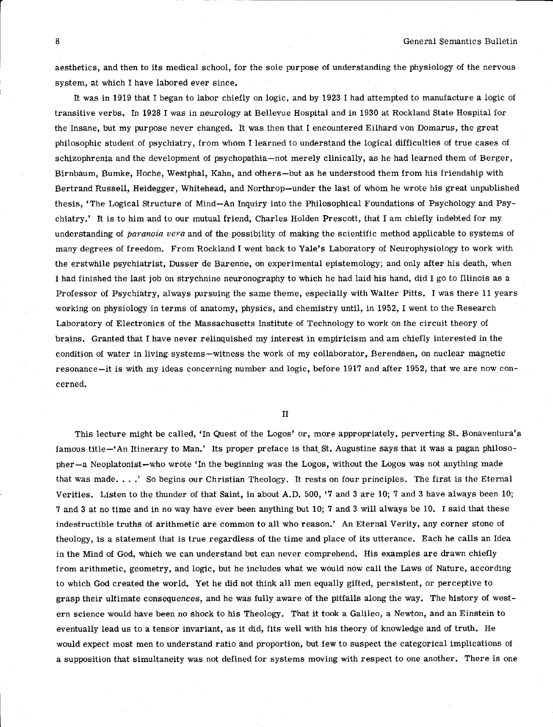aesthetics, and then to its medical school, for the sole purpose of understanding the physiology of the nervous system, at which I have labored ever since.

8

 

It was in 1919 that I began to labor chiefly on logic, and by 1923 I had attempted to manufacture a logic of transitive verbs. In 1928 I was in neurology at Bellevue Hospital and in 1930 at Rockland State Hospital for the Insane, but my purpose never changed. It was then that I encountered Eilhard von Domarus, the great philosophic student of psychiatry, from whom I learned to understand the logical difficulties of true cases of schizophrenia and the development of psychopathia-not merely clinically, as he had learned them of Berger, Birnbaum, Bumke, Hoche, Westphal, Kahn, and others-but as he understood them from his friendship with Bertrand Russell, Heidegger, Whitehead, and Northrop-under the last of whom he wrote his great unpublished thesis, 'The Logical Structure of Mind-An Inquiry into the Philosophical Foundations of Psychology and Psychiatry .' It is to him and to our mutual friend, Charles Holden Prescott, that I am chiefly indebted for my understanding of *paranoia vera* and of the possibility of making the scientific method applicable to systems of many degrees of freedom. From Rockland I went back to Yale's Laboratory of Neurophysiology to work with the erstwhile psychiatrist, Dusser de Barenne, on experimental epistemology ; and only after his death, when I had finished the last job on strychnine neuronography to which he had laid his hand, did I go to Illinois as a Professor of Psychiatry, always pursuing the same theme, especially with Walter Pitts. I was there 11 years working on physiology in terms of anatomy, physics, and chemistry until, in 1952, I went to the Research Laboratory of Electronics of the Massachusetts Institute of Technology to work on the circuit theory of brains . Granted that I have never relinquished my interest in empiricism and am chiefly interested in the condition of water in living systems-witness the work of my collaborator, Berendsen, on nuclear magnetic resonance-it is with my ideas concerning number and logic, before 1917 and after 1952, that we are now concerned.

II

This lecture might be called, 'In Quest of the Logos' or, more appropriately, perverting St. Bonaventura's famous title-'An Itinerary to Man.' Its proper preface is that St. Augustine says that it was a pagan philosopher-a Neoplatonist-who wrote 'In the beginning was the Logos, without the Logos was not anything made that was made . . . .' So begins our Christian Theology . It rests on four principles. The first is the Eternal Verities. Listen to the thunder of that Saint, in about  $A, D$ , 500, '7 and 3 are 10; 7 and 3 have always been 10; 7 and 3 at no time and in no way have ever been anything but 10; 7 and 3 will always be 10 . I said that these indestructible truths of arithmetic are common to all who reason .' An Eternal Verity, any corner stone of theology, is a statement that is true regardless of the time and place of its utterance . Each he calls an Idea in the Mind of God, which we can understand but can never comprehend. His examples are drawn chiefly from arithmetic, geometry, and logic, but he includes what we would now call the Laws of Nature, according to which God created the world. Yet he did not think all men equally gifted, persistent, or perceptive to grasp their ultimate consequences, and he was fully aware of the pitfalls along the way . The history of western science would have been no shock to his Theology . That it took a Galileo, a Newton, and an Einstein to eventually lead us to a tensor invariant, as it did, fits well with his theory of knowledge and of truth. He would expect most men to understand ratio and proportion, but few to suspect the categorical implications of a supposition that simultaneity was not defined for systems moving with respect to one another. There is one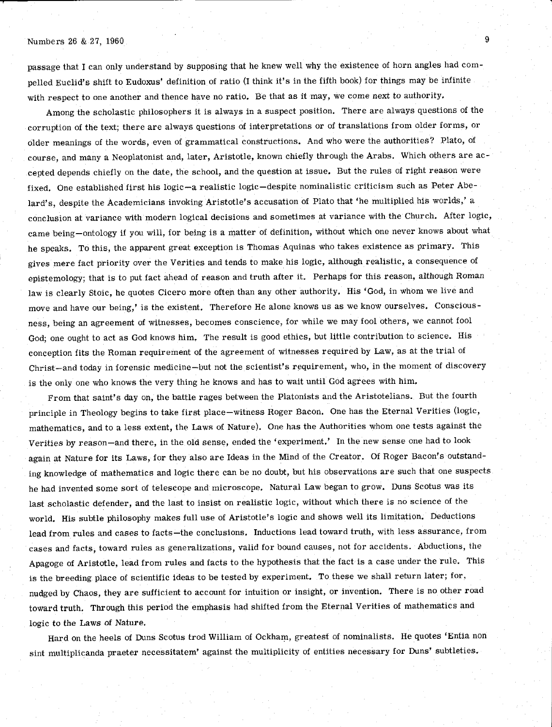#### Numbers 26 & 27, 1960

passage that I can only understand by supposing that he knew well why the existence of horn angles had compelled Euclid's shift to Eudoxus' definition of ratio (I think it's in the fifth book) for things may be infinite with respect to one another and thence have no ratio. Be that as it may, we come next to authority.

Among the scholastic philosophers it is always in a suspect position. There are always questions of the corruption of the text; there are always questions of interpretations or of translations from older forms, or older meanings of the words, even of grammatical constructions. And who were the authorities? Plato, of course, and many a Neoplatonist and, later, Aristotle, known chiefly through the Arabs. Which others are accepted depends chiefly on the date, the school, and the question at issue. But the rules of right reason were fixed. One established first his logic-a realistic logic-despite nominalistic criticism such as Peter Abelard's, despite the Academicians invoking Aristotle's accusation of Plato that 'he multiplied his worlds,' a conclusion at variance with modern logical decisions and sometimes at variance with the Church . After logic, came being-ontology if you will, for being is a matter of definition, without which one never knows about what he speaks. To this, the apparent great exception is Thomas Aquinas who takes existence as primary. This gives mere fact priority over the Verities and tends to make his logic, although realistic, a consequence of epistemology; that is to put fact ahead of reason and truth after it. Perhaps for this reason, although Roman law is clearly Stoic, he quotes Cicero more often than any other authority. His 'God, in whom we live and move and have our being,' is the existent. Therefore He alone knows us as we know ourselves. Consciousness, being an agreement of witnesses, becomes conscience, for while we may fool others, we cannot fool God; one ought to act as God knows him. The result is good ethics, but little contribution to science . His conception fits the Roman requirement of the agreement of witnesses required by Law, as at the trial of Christ-and today in forensic medicine-but not the scientist's requirement, who, in the moment of discovery is the only one who knows the very thing he knows and has to wait until God agrees with him.

From that saint's day on, the battle rages between the Platonists and the Aristotelians . But the fourth principle in Theology begins to take first place-witness Roger Bacon. One has the Eternal Verities (logic, mathematics, and to a less extent, the Laws of Nature). One has the Authorities whom one tests against the Verities by reason-and there, in the old sense, ended the 'experiment.' In the new sense one had to look again at Nature for its Laws, for they also are Ideas in the Mind of the Creator. Of Roger Bacon's outstanding knowledge of mathematics and logic there can be no doubt, but his observations are such that one suspects he had invented some sort of telescope and microscope. Natural Law began to grow. Duns Scotus was its last scholastic defender, and the last to insist on realistic logic, without which there is no science of the world. His subtle philosophy makes full use of Aristotle's logic and shows well its limitation. Deductions lead from rules and cases to facts-the conclusions. Inductions lead toward truth, with less assurance, from cases and facts, toward rules as generalizations, valid for bound causes, not for accidents . Abductions, the Apagoge of Aristotle, lead from rules and facts to the hypothesis that the fact is a case under the rule. This is the breeding place of scientific ideas to be tested by experiment. To these we shall return later; for, nudged by Chaos, they are sufficient to account for intuition or insight, or invention. There is no other road toward truth. Through this period the emphasis had shifted from the Eternal Verities of mathematics and logic to the Laws of Nature.

Hard on the heels of Duns Scotus trod William of Ockham, greatest of nominalists. He quotes 'Entia non sint multiplicanda praeter necessitatem' against the multiplicity of entities necessary for Duns' subtleties .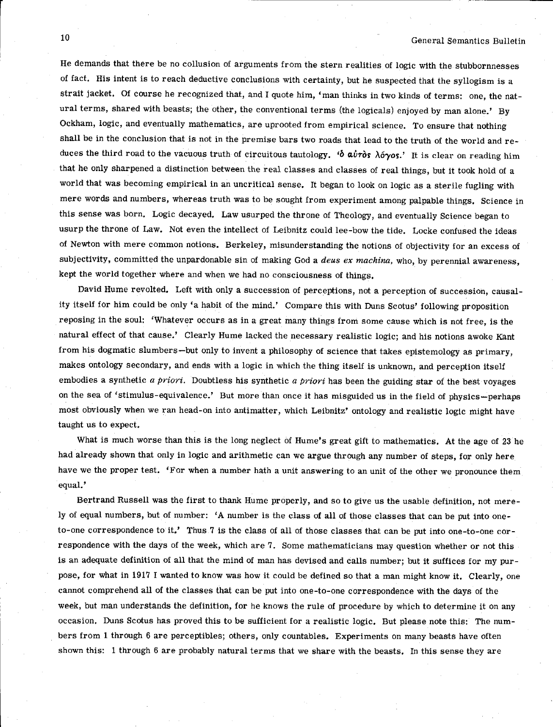He demands that there be no collusion of arguments from the stern realities of logic with the stubbornnesses of fact. His intent is to reach deductive conclusions with certainty, but he suspected that the syllogism is a strait jacket. Of course he recognized that, and I quote him, 'man thinks in two kinds of terms: one, the natural terms, shared with beasts; the other, the conventional terms (the logicals) enjoyed by man alone.' By Ockham, logic, and eventually mathematics, are uprooted from empirical science. To ensure that nothing shall be in the conclusion that is not in the premise bars two roads that lead to the truth of the world and reduces the third road to the vacuous truth of circuitous tautology. ' $\delta$  airos  $\lambda$ óyos.' It is clear on reading him that he only sharpened a distinction between the real classes and classes of real things, but it took hold of a world that was becoming empirical in an uncritical sense. It began to look on logic as a sterile fugling with mere words and numbers, whereas truth was to be sought from experiment among palpable things. Science in this sense was born. Logic decayed. Law usurped the throne of Theology, and eventually Science began to usurp the throne of Law. Not even the intellect of Leibnitz could lee-bow the tide. Locke confused the ideas of Newton with mere common notions. Berkeley, misunderstanding the notions of objectivity for an excess of subjectivity, committed the unpardonable sin of making God a deus ex machina, who, by perennial awareness, kept the world together where and when we had no consciousness of things .

David Hume revolted. Left with only a succession of perceptions, not a perception of succession, causality itself for him could be only 'a habit of the mind.' Compare this with Duns Scotus' following proposition reposing in the soul: 'Whatever occurs as in a great many things from some cause which is not free, is the natural effect of that cause.' Clearly Hume lacked the necessary realistic logic; and his notions awoke Kant from his dogmatic slumbers-but only to invent a philosophy of science that takes epistemology as primary, makes ontology secondary, and ends with a logic in which the thing itself is unknown, and perception itself embodies a synthetic a priori. Doubtless his synthetic a priori has been the guiding star of the best voyages on the sea of 'stimulus -equivalence .' But more than once it has misguided us in the field of physics-perhaps most obviously when we ran head-on into antimatter, which Leibnitz' ontology and realistic logic might have taught us to expect.

What is much worse than this is the long neglect of Hume's great gift to mathematics . At the age of 23 he had already shown that only in logic and arithmetic can we argue through any number of steps, for only here have we the proper test. 'For when a number hath a unit answering to an unit of the other we pronounce them equal.'

Bertrand Russell was the first to thank Hume properly, and so to give us the usable definition, not merely of equal numbers, but of number: 'A number is the class of all of those classes that can be put into oneto-one correspondence to it.' Thus 7 is the class of all of those classes that can be put into one-to-one correspondence with the days of the week, which are 7. Some mathematicians may question whether or not this is an adequate definition of all that the mind of man has devised and calls number; but it suffices for my purpose, for what in 1917 I wanted to know was how it could be defined so that a man might know it. Clearly, one cannot comprehend all of the classes that can be put into one-to-one correspondence with the days of the week, but man understands the definition, for he knows the rule of procedure by which to determine it on any occasion. Duns Scotus has proved this to be sufficient for a realistic logic. But please note this: The numbers from 1 through 6 are perceptibles; others, only countables. Experiments on many beasts have often shown this: 1 through 6 are probably natural terms that we share with the beasts. In this sense they are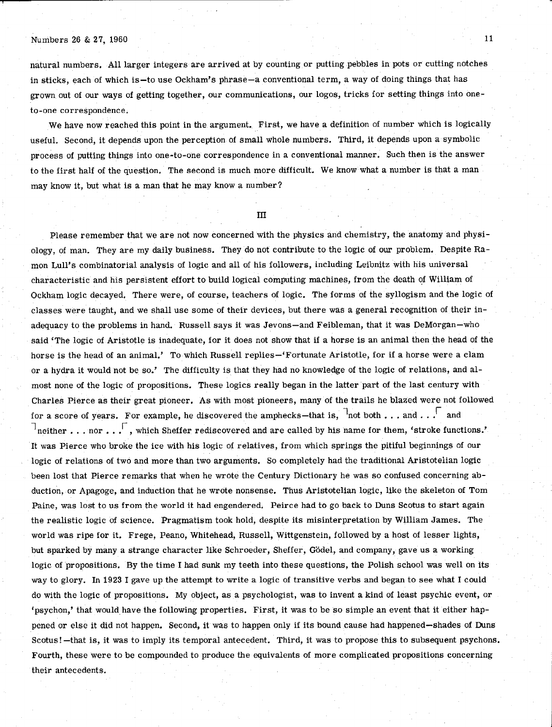## Numbers 26 & 27, 1960 Numbers 26 & S

natural numbers . All larger integers are arrived at by counting or putting pebbles in pots or cutting notches in sticks, each of which is-to use Ockham's phrase-a conventional term, a way of doing things that has grown out of our ways of getting together, our communications, our logos, tricks for setting things into oneto-one correspondence .

We have now reached this point in the argument. First, we have a definition of number which is logically useful. Second, it depends upon the perception of small whole numbers. Third, it depends upon a symbolic process of putting things into one-to-one correspondence in a conventional manner . Such then is the answer to the first half of the question. The second is much more difficult. We know what a number is that a man may know it, but what is a man that he may know a number?

III

Please remember that we are not now concerned with the physics and chemistry, the anatomy and physiology, of man. They are my daily business. They do not contribute to the logic of our problem. Despite Ramon Lull's combinatorial analysis of logic and all of his followers, including Leibnitz with his universal characteristic and his persistent effort to build logical computing machines, from the death of William of Ockham logic decayed. There were, of course, teachers of logic . The forms of the syllogism and the logic of classes were taught, and we shall use some of their devices, but there was a general recognition of their inadequacy to the problems in hand. Russell says it was Jevons-and Feibleman, that it was DeMorgan-who said 'The logic of Aristotle is inadequate, for it does not show that if a horse is an animal then the head of the horse is the head of an animal.' To which Russell replies-'Fortunate Aristotle, for if a horse were a clam or a hydra it would not be so.' The difficulty is that they had no knowledge of the logic of relations, and almost none of the logic of propositions . These logics really began in the latter part of the last century with Charles Pierce as their great pioneer . As with most pioneers, many of the trails he blazed were not followed for a score of years. For example, he discovered the amphecks-that is,  $\frac{1}{1}$ not both . . . and . . . and neither . . . nor . . . , which Sheffer rediscovered and are called by his name for them, 'stroke functions.' It was Pierce who broke the ice with his logic of relatives, from which springs the pitiful beginnings of our logic of relations of two and more than two arguments. So completely had the traditional Aristotelian logic been lost that Pierce remarks that when he wrote the Century Dictionary he was so confused concerning abduction, or Apagoge, and induction that he wrote nonsense. Thus Aristotelian logic, like the skeleton of Tom Paine, was lost to us from the world it had engendered. Peirce had to go back to Duns Scotus to start again the realistic logic of science. Pragmatism took hold, despite its misinterpretation by William James. The world was ripe for it. Frege, Peano, Whitehead, Russell, Wittgenstein, followed by a host of lesser lights, but sparked by many a strange character like Schroeder, Sheffer, Gödel, and company, gave us a working logic of propositions. By the time I had sunk my teeth into these questions, the Polish school was well on its way to glory . In 1923 I gave up the attempt to write a logic of transitive verbs and began to see what I could do with the logic of propositions. My object, as a psychologist, was to invent a kind of least psychic event, or `psychon,' that would have the following properties . First, it was to be so simple an event that it either happened or else it did not happen . Second, it was to happen only if its bound cause had happened-shades of Duns Scotus!—that is, it was to imply its temporal antecedent. Third, it was to propose this to subsequent psychons. Fourth, these were to be compounded to produce the equivalents of more complicated propositions concerning their antecedents.

11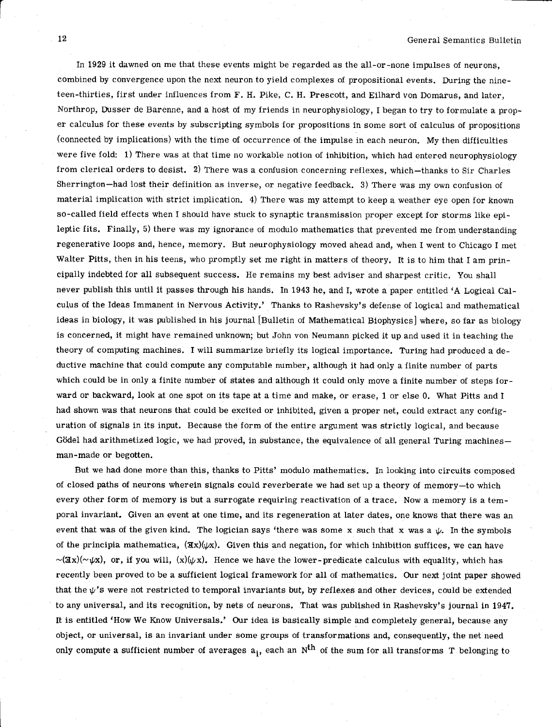#### General Semantics Bulletin

In 1929 it dawned on me that these events might be regarded as the all-or-none impulses of neurons, combined by convergence upon the next neuron to yield complexes of propositional events . During the nineteen-thirties, first under influences from F. H. Pike, C. H. Prescott, and Eilhard von Domarus, and later, Northrop, Dusser de Barenne, and a host of my friends in neurophysiology, I began to try to formulate a proper calculus for these events by subscripting symbols for propositions in some sort of calculus of propositions (connected by implications) with the time of occurrence of the impulse in each neuron. My then difficulties were five fold: 1) There was at that time no workable notion of inhibition, which had entered neurophysiology from clerical orders to desist. 2) There was a confusion concerning reflexes, which-thanks to Sir Charles Sherrington-had lost their definition as inverse, or negative feedback . 3) There was my own confusion of material implication with strict implication. 4) There was my attempt to keep a weather eye open for known so-called field effects when I should have stuck to synaptic transmission proper except for storms like epileptic fits. Finally, 5) there was my ignorance of modulo mathematics that prevented me from understanding regenerative loops and, hence, memory . But neurophysiology moved ahead and, when I went to Chicago I met Walter Pitts, then in his teens, who promptly set me right in matters of theory. It is to him that I am principally indebted for all subsequent success. He remains my best adviser and sharpest critic. You shall never publish this until it passes through his hands. In 1943 he, and I, wrote a paper entitled 'A Logical Calculus of the Ideas Immanent in Nervous Activity .' Thanks to Rashevsky's defense of logical and mathematical ideas in biology, it was published in his journal [Bulletin of Mathematical Biophysics] where, so far as biology is concerned, it might have remained unknown; but John von Neumann picked it up and used it in teaching the theory of computing machines. I will summarize briefly its logical importance. Turing had produced a deductive machine that could compute any computable number, although it had only a finite number of parts which could be in only a finite number of states and although it could only move a finite number of steps forward or backward, look at one spot on its tape at a time and make, or erase, 1 or else 0. What Pitts and I had shown was that neurons that could be excited or inhibited, given a proper net, could extract any configuration of signals in its input. Because the form of the entire argument was strictly logical, and because Gödel had arithmetized logic, we had proved, in substance, the equivalence of all general Turing machinesman-made or begotten.

But we had done more than this, thanks to Pitts' modulo mathematics . In looking into circuits composed of closed paths of neurons wherein signals could reverberate we had set up a theory of memory-to which every other form of memory is but a surrogate requiring reactivation of a trace . Now a memory is a temporal invariant. Given an event at one time, and its regeneration at later dates, one knows that there was an event that was of the given kind. The logician says 'there was some x such that x was a  $\psi$ . In the symbols of the principia mathematica,  $(\mathbf{X}x)(\psi x)$ . Given this and negation, for which inhibition suffices, we can have  $\sim$ ( $\frac{d}{dx}$ )( $\sim \frac{dx}{y}$ ), or, if you will, (x)( $\psi$ x). Hence we have the lower-predicate calculus with equality, which has recently been proved to be a sufficient logical framework for all of mathematics . Our next joint paper showed that the  $\psi$ 's were not restricted to temporal invariants but, by reflexes and other devices, could be extended to any universal, and its recognition, by nets of neurons. That was published in Rashevsky's journal in 1947. It is entitled 'How We Know Universals.' Our idea is basically simple and completely general, because any object, or universal, is an invariant under some groups of transformations and, consequently, the net need only compute a sufficient number of averages  $a_i$ , each an N<sup>th</sup> of the sum for all transforms T belonging to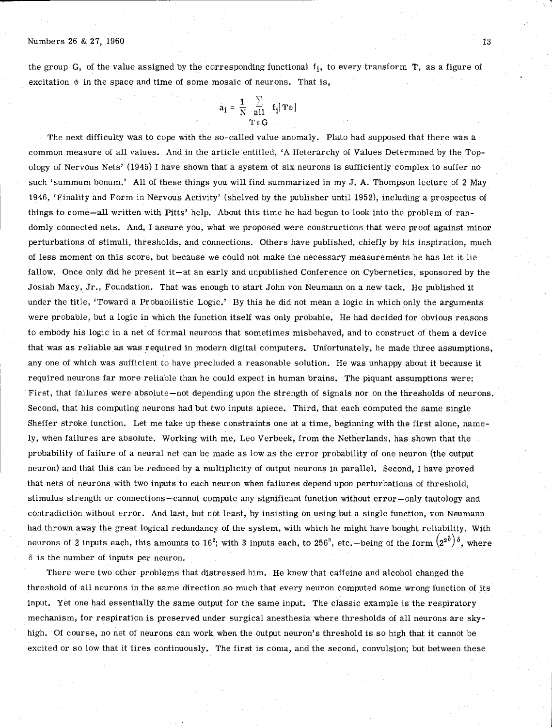# Numbers 26 & 27, 1960 Numbers  $26 \& 27$ ,  $196$ <br>the group G, of the v

the group G, of the value assigned by the corresponding functional  $f_i$ , to every transform T, as a figure of excitation  $\phi$  in the space and time of some mosaic of neurons. That is,

$$
\mathbf{a_i} = \frac{1}{N} \sum_{\mathbf{all}}^{N} \mathbf{f_i}[\mathbf{T}\phi]
$$

The next difficulty was to cope with the so-called value anomaly. Plato had supposed that there was a common measure of all values. And in the article entitled, 'A Heterarchy of Values Determined by the Topology of Nervous Nets' (1945) I have shown that a system of six neurons is sufficiently complex to suffer no such 'summum bonum.' All of these things you will find summarized in my J. A. Thompson lecture of 2 May 1946, `Finality and Form in Nervous Activity' (shelved by the publisher until 1952), including a prospectus of things to come-all written with Pitts' help . About this time he had begun to look into the problem of randomly connected nets. And, I assure you, what we proposed were constructions that were proof against minor perturbations of stimuli, thresholds, and connections . Others have published, chiefly by his inspiration, much of less moment on this score, but because we could not make the necessary measurements he has let it lie fallow. Once only did he present it--at an early and unpublished Conference on Cybernetics, sponsored by the Josiah Macy, Jr., Foundation. That was enough to start John von Neumann on a new tack. He published it under the title, 'Toward a Probabilistic Logic.' By this he did not mean a logic in which only the arguments were probable, but a logic in which the function itself was only probable . He had decided for obvious reasons to embody his logic in a net of formal neurons that sometimes misbehaved, and to construct of them a device that was as reliable as was required in modern digital computers . Unfortunately, he made three assumptions, any one of which was sufficient to have precluded a reasonable solution. He was unhappy about it because it required neurons far more reliable than he could expect in human brains. The piquant assumptions were: First, that failures were absolute-not depending upon the strength of signals nor on the thresholds of neurons. Second, that his computing neurons had but two inputs apiece . Third, that each computed the same single Sheffer stroke function. Let me take up these constraints one at a time, beginning with the first alone, namely, when failures are absolute. Working with me, Leo Verbeek, from the Netherlands, has shown that the probability of failure of a neural net can be made as low as the error probability of one neuron (the output neuron) and that this can be reduced by a multiplicity of output neurons in parallel. Second, I have proved that nets of neurons with two inputs to each neuron when failures depend upon perturbations of threshold, stimulus strength or connections-cannot compute any significant function without error-only tautology and contradiction without error. And last, but not least, by insisting on using but a single function, von Neumann had thrown away the great logical redundancy of the system, with which he might have bought reliability. With neurons of 2 inputs each, this amounts to 16<sup>2</sup>; with 3 inputs each, to 256<sup>3</sup>, etc. --being of the form  $(2^{2^{\delta}})^{\delta}$ , where  $\delta$  is the number of inputs per neuron.

There were two other problems that distressed him. He knew that caffeine and alcohol changed the threshold of all neurons in the same direction so much that every neuron computed some wrong function of its input. Yet one had essentially the same output for the same input. The classic example is the respiratory mechanism, for respiration is preserved under surgical anesthesia where thresholds of all neurons are skyhigh. Of course, no net of neurons can work when the output neuron's threshold is so high that it cannot be excited or so low that it fires continuously. The first is coma, and the second, convulsion; but between these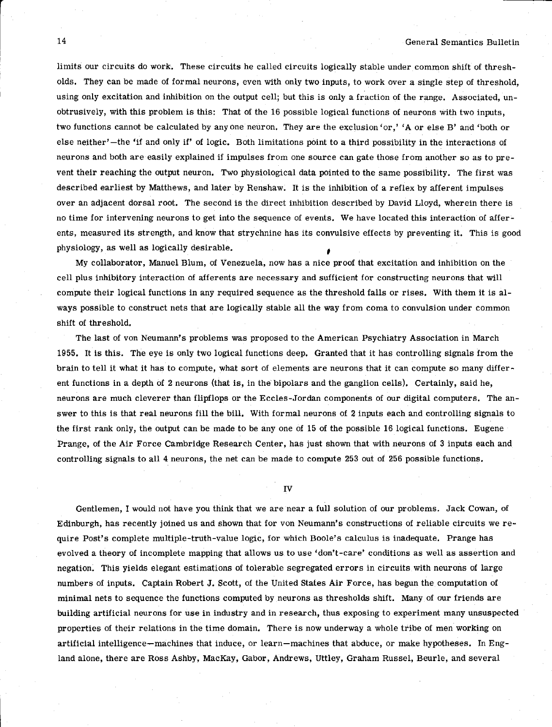limits our circuits do work. These circuits he called circuits logically stable under common shift of thresholds. They can be made of formal neurons, even with only two inputs, to work over a single step of threshold, using only excitation and inhibition on the output cell; but this is only a fraction of the range. Associated, unobtrusively, with this problem is this: That of the 16 possible logical functions of neurons with two inputs, two functions cannot be calculated by any one neuron. They are the exclusion 'or,' 'A or else B' and 'both or else neither'-the 'if and only if' of logic. Both limitations point to a third possibility in the interactions of neurons and both are easily explained if impulses from one source can gate those from another so as to prevent their reaching the output neuron. Two physiological data pointed to the same possibility. The first was described earliest by Matthews, and later by Renshaw. It is the inhibition of a reflex by afferent impulses over an adjacent dorsal root. The second is the direct inhibition described by David Lloyd, wherein there is no time for intervening neurons to get into the sequence of events . We have located this interaction of afferents, measured its strength, and know that strychnine has its convulsive effects by preventing it. This is good physiology, as well as logically desirable. 14<br>
limits our circuits do work. These circuits he called circuits log<br>
olds. They can be made of formal neurons, even with only two in<br>
using only excitation and inhibition on the output cell; but this is c<br>
obtrusively,

> My collaborator, Manuel Blum, of Venezuela, now has a nice proof that excitation and inhibition on the cell plus inhibitory interaction of afferents are necessary and sufficient for constructing neurons that will compute their logical functions in any required sequence as the threshold falls or rises. With them it is always possible to construct nets that are logically stable all the way from coma to convulsion under common shift of threshold.

The last of von Neumann's problems was proposed to the American Psychiatry Association in March 1955. It is this. The eye is only two logical functions deep. Granted that it has controlling signals from the brain to tell it what it has to compute, what sort of elements are neurons that it can compute so many different functions in a depth of 2 neurons (that is, in the bipolars and the ganglion cells) . Certainly, said he, neurons are much cleverer than flipflops or the Eccles-Jordan components of our digital computers . The answer to this is that real neurons fill the bill. With formal neurons of 2 inputs each and controlling signals to the first rank only, the output can be made to be any one of 15 of the possible 16 logical functions . Eugene Prange, of the Air Force Cambridge Research Center, has just shown that with neurons of 3 inputs each and controlling signals to all 4 neurons, the net can be made to compute 253 out of 256 possible functions .

IV

Gentlemen, I would not have you think that we are near a full solution of our problems . Jack Cowan, of Edinburgh, has recently joined us and shown that for von Neumann's constructions of reliable circuits we require Post's complete multiple-truth-value logic, for which Boole's calculus is inadequate. Prange has evolved a theory of incomplete mapping that allows us to use 'don't-care' conditions as well as assertion and negation. This vields elegant estimations of tolerable segregated errors in circuits with neurons of large numbers of inputs. Captain Robert J. Scott, of the United States Air Force, has begun the computation of minimal nets to sequence the functions computed by neurons as thresholds shift . Many of our friends are building artificial neurons for use in industry and in research, thus exposing to experiment many unsuspected properties of their relations in the time domain. There is now underway a whole tribe of men working on artificial intelligence-machines that induce, or learn-machines that abduce, or make hypotheses . In England alone, there are Ross Ashby, MacKay, Gabor, Andrews, Uttley, Graham Russel, Beurle, and several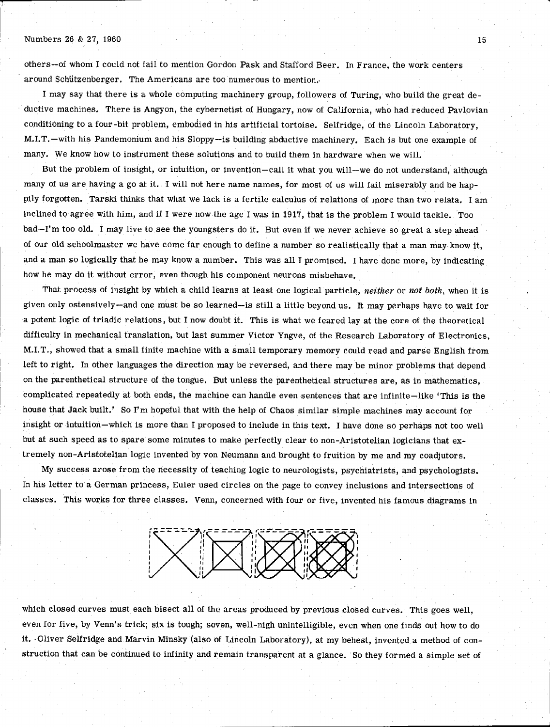## Numbers 26 & 27, 1960 Numbers 26 & 27

others-of whom I could not fail to mention Gordon Pask and Stafford Beer . In France, the work centers around Schützenberger. The Americans are too numerous to mention.

I may say that there is a whole computing machinery group, followers of Turing, who build the great deductive machines. There is Angyon, the cybernetist of Hungary, now of California, who had reduced Pavlovian conditioning to a four-bit problem, embodied in his artificial tortoise. Selfridge, of the Lincoln Laboratory, M.I.T.-with his Pandemonium and his Sloppy-is building abductive machinery. Each is but one example of many. We know how to instrument these solutions and to build them in hardware when we will.

But the problem of insight, or intuition, or invention-call it what you will-we do not understand, although many of us are having a go at it. I will not here name names, for most of us will fail miserably and be happily forgotten. Tarski thinks that what we lack is a fertile calculus of relations of more than two relata. I am inclined to agree with him, and if I were now the age I was in 1917, that is the problem I would tackle. Too bad-I'm too old. I may live to see the youngsters do it. But even if we never achieve so great a step ahead of our old schoolmaster we have come far enough to define a number so realistically that a man may know it, and a man so logically that he may know a number. This was all I promised. I have done more, by indicating how he may do it without error, even though his component neurons misbehave.

That process of insight by which a child learns at least one logical particle, neither or not both, when it is given only ostensively-and one must be so learned-is still a little beyond us. It may perhaps have to wait for a potent logic of triadic relations, but I now doubt it. This is what we feared lay at the core of the theoretical difficulty in mechanical translation, but last summer Victor Yngve, of the Research Laboratory of Electronics, M.I.T., showed that a small finite machine with a small temporary memory could read and parse English from left to right. In other languages the direction may be reversed, and there may be minor problems that depend on the parenthetical structure of the tongue. But unless the parenthetical structures are, as in mathematics, complicated repeatedly at both ends, the machine can handle even sentences that are infinite-like `This is the house that Jack built.' So I'm hopeful that with the help of Chaos similar simple machines may account for insight or intuition-which is more than I proposed to include in this text. I have done so perhaps not too well but at such speed as to spare some minutes to make perfectly clear to non-Aristotelian logicians that extremely non-Aristotelian logic invented by von Neumann and brought to fruition by me and my coadjutors .

My success arose from the necessity of teaching logic to neurologists, psychiatrists, and psychologists . In his letter to a German princess, Euler used circles on the page to convey inclusions and intersections of classes. This works for three classes. Venn, concerned with four or five, invented his famous diagrams in



which closed curves must each bisect all of the areas produced by previous closed curves. This goes well, even for five, by Venn's trick; six is tough; seven, well-nigh unintelligible, even when one finds out how to do it. -Oliver Selfridge and Marvin Minsky (also of Lincoln Laboratory), at my behest, invented a method of construction that can be continued to infinity and remain transparent at a glance . So they formed a simple set of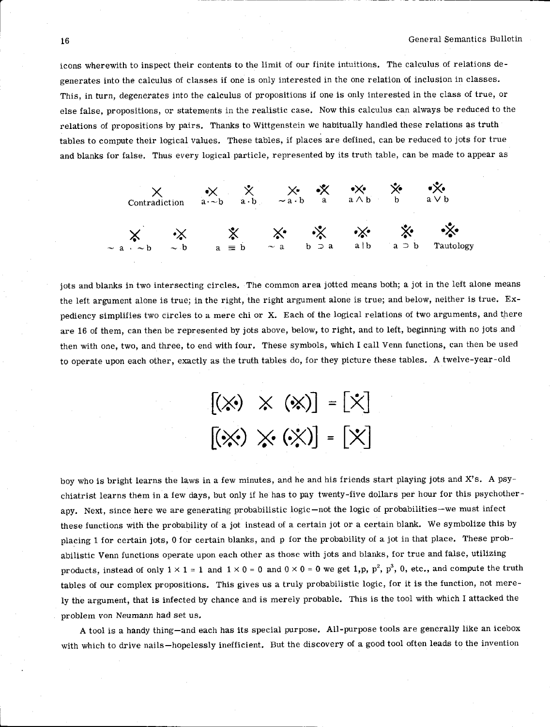icons wherewith to inspect their contents to the limit of our finite intuitions . The calculus of relations degenerates into the calculus of classes if one is only interested in the one relation of inclusion in classes . This, in turn, degenerates into the calculus of propositions if one is only interested in the class of true, or else false, propositions, or statements in the realistic case. Now this calculus can always be reduced to the relations of propositions by pairs. Thanks to Wittgenstein we habitually handled these relations as truth tables to compute their logical values. These tables, if places are defined, can be reduced to jots for true and blanks for false. Thus every logical particle, represented by its truth table, can be made to appear as 16<br>
icons wherewith to inspect their contents to the limit of our finite intuition<br>
generates into the calculus of classes if one is only interested in the one r<br>
This, in turn, degenerates into the calculus of propositio 16<br>
icons wherewith to insp<br>
generates into the calc  $16$ <br>icons wherewith to<br>generates into the



jots and blanks in two intersecting circles. The common area jotted means both; a jot in the left alone means the left argument alone is true; in the right, the right argument alone is true; and below, neither is true. Expediency simplifies two circles to a mere chi or X. Each of the logical relations of two arguments, and there are 16 of them, can then be represented by jots above, below, to right, and to left, beginning with no jots and then with one, two, and three, to end with four. These symbols, which I call Venn functions, can then be used to operate upon each other, exactly as the truth tables do, for they picture these tables. A twelve-year-old

 $[(\times) \times (\times)] = [\times]$  $[(\diamondsuit)(\diamondsuit)(\diamondsuit)] = [\times]$ 

boy who is bright learns the laws in a few minutes, and he and his friends start playing jots and X's. A psychiatrist learns them in a few days, but only if he has to pay twenty-five dollars per hour for this psychotherapy. Next, since here we are generating probabilistic logic-not the logic of probabilities-we must infect these functions with the probability of a jot instead of a certain jot or a certain blank. We symbolize this by placing 1 for certain jots, 0 for certain blanks, and p for the probability of a jot in that place. These probabilistic Venn functions operate upon each other as those with jots and blanks, for true and false, utilizing products, instead of only  $1 \times 1 = 1$  and  $1 \times 0 = 0$  and  $0 \times 0 = 0$  we get 1,p, p<sup>2</sup>, p<sup>3</sup>, 0, etc., and compute the truth tables of our complex propositions. This gives us a truly probabilistic logic, for it is the function, not merely the argument, that is infected by chance and is merely probable. This is the tool with which I attacked the problem von Neumann had set us,

A tool is a handy thing-and each has its special purpose . All-purpose tools are generally like an icebox with which to drive nails-hopelessly inefficient. But the discovery of a good tool often leads to the invention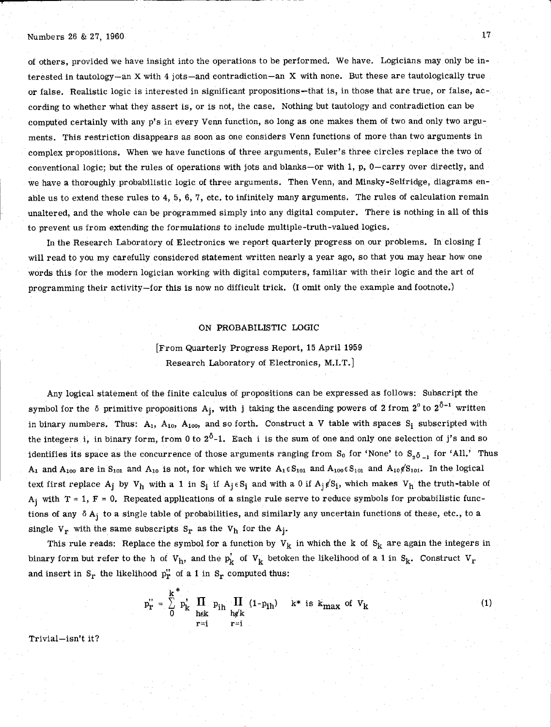of others, provided we have insight into the operations to be performed. We have. Logicians may only be interested in tautology-an X with 4 jots-and contradiction-an X with none . But these are tautologically true or false. Realistic logic is interested in significant propositions-that is, in those that are true, or false, according to whether what they assert is, or is not, the case. Nothing but tautology and contradiction can be computed certainly with any p's in every Venn function, so long as one makes them of two and only two arguments. This restriction disappears as soon as one considers Venn functions of more than two arguments in complex propositions. When we have functions of three arguments, Euler's three circles replace the two of conventional logic ; but the rules of operations with jots and blanks-or with 1, p, 0-carry over directly, and we have a thoroughly probabilistic logic of three arguments. Then Venn, and Minsky-Selfridge, diagrams enable us to extend these rules to 4, 5, 6, 7, etc. to infinitely many arguments. The rules of calculation remain unaltered, and the whole can be programmed simply into any digital computer. There is nothing in all of this to prevent us from extending the formulations to include multiple-truth-valued logics .

In the Research Laboratory of Electronics we report quarterly progress on our problems. In closing I will read to you my carefully considered statement written nearly a year ago, so that you may hear how one words this for the modern logician working with digital computers, familiar with their logic and the art of programming their activity-for this is now no difficult trick. (I omit only the example and footnote.)

### ON PROBABILISTIC LOGIC

### [From Quarterly Progress Report, 15 April 1959 Research Laboratory of Electronics, M.I.T.

Any logical statement of the finite calculus of propositions can be expressed as follows: Subscript the symbol for the  $\delta$  primitive propositions  $A_j$ , with j taking the ascending powers of 2 from  $2^0$  to  $2^{\delta-1}$  written in binary numbers. Thus:  $A_1$ ,  $A_{10}$ ,  $A_{100}$ , and so forth. Construct a V table with spaces  $S_i$  subscripted with the integers i, in binary form, from 0 to  $2^{\delta}$ -1. Each i is the sum of one and only one selection of j's and so identifies its space as the concurrence of those arguments ranging from  $S_0$  for 'None' to  $S_{0,0}$ , for 'All.' Thus A<sub>1</sub> and A<sub>100</sub> are in S<sub>101</sub> and A<sub>10</sub> is not, for which we write  $A_1 \epsilon S_{101}$  and  $A_{100} \epsilon S_{101}$  and  $A_{10} \ell S_{101}$ . In the logical text first replace A<sub>j</sub> by V<sub>h</sub> with a 1 in S<sub>i</sub> if A<sub>j</sub> e S<sub>i</sub> and with a 0 if A<sub>j</sub>  $\epsilon$  S<sub>i</sub>, which makes V<sub>h</sub> the truth-table of  $A_i$  with T = 1, F = 0. Repeated applications of a single rule serve to reduce symbols for probabilistic functions of any  $\delta A_j$  to a single table of probabilities, and similarly any uncertain functions of these, etc., to a single  $V_r$  with the same subscripts  $S_r$  as the  $V_h$  for the  $A_i$ .

This rule reads: Replace the symbol for a function by  $V_k$  in which the k of  $S_k$  are again the integers in binary form but refer to the h of  $V_h$ , and the  $p_k'$  of  $V_k$  betoken the likelihood of a 1 in  $S_k$ . Construct  $V_r$ and insert in  $S_r$  the likelihood  $p_r^{\prime\prime}$  of a 1 in  $S_r$  computed thus:

$$
p'_{r} = \sum_{i=1}^{k} p'_{k} \prod_{\substack{h \in k \\ r=i}} p_{ih} \prod_{\substack{h \notin k \\ r=i}} (1-p_{ih}) \quad k^* \text{ is } k_{\max} \text{ of } V_{k}
$$
 (1)

Trivial-isn't it?